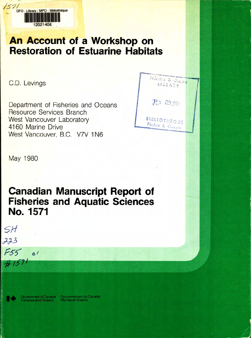

# An Account of a Workshop on **Restoration of Estuarine Habitats**

C.D. Levings

Department of Fisheries and Oceans **Resource Services Branch West Vancouver Laboratory** 4160 Marine Drive West Vancouver, B.C. V7V 1N6

| Fishartes & Oceans<br>LIGRANY          |  |
|----------------------------------------|--|
| <b>Mars</b> 291960                     |  |
| <b>BIBLIOTHÈQUE</b><br>Pâchos & Oceans |  |
|                                        |  |

May 1980

**Canadian Manuscript Report of Fisheries and Aquatic Sciences No. 1571** 



SH

 $223$ 

 $F55$ 

Government of Canada Fisheries and Oceans

 $\alpha$ 

Gouvernement du Canada<br>Pêches et Océans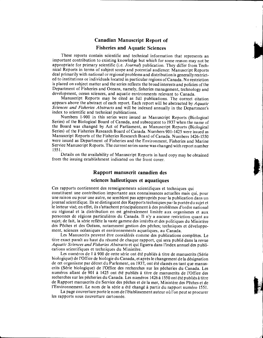## **Canadian Manuscript Report of Fisheries and Aquatic Sciences**

These reports contain scientific and technical information that represents an important contribution to existing knowledge but which for some reason may not be appropriate for primary scientific (i.e. *Journal)* publication. They differ from Technical Reports in terms of subject scope and potential audience: Manuscript Reports deal primarily with national or regional problems and distribution is generally restricted to institutions or individuals located in particular regions of Canada. No restriction is placed on subject matter and the series reflects the broad interests and policies of the Department of Fisheries and Oceans, namely, fisheries management, technology and development, ocean sciences, and aquatic environments relevant to Canada.

Manuscript Reports may be cited as full publications. The correct citation appears above the abstract of each report. Each report will be abstracted by *Aquatic Sciences and Fisheries Abstracts* and will be indexed annually in the Department's index to scientific and technical publications.

Numbers 1-900 in this series were issued as Manuscript Reports (Biological Series) of the Biological Board of Canada, and subsequent to 1937 when the name of the Board was changed by Act of Parliament, as Manuscript Reports (Biological Series) of the Fisheries Research Board of Canada. Numbers 901-1425 were issued as Manuscript Reports of the Fisheries Research Board of Canada. Numbers 1426-1550 were issued as Department of Fisheries and the Environment, Fisheries and Marine Service Manuscript Reports. The current series name was changed with report number 1551.

Details on the availability of Manuscript Reports in hard copy may be obtained from the issuing establishment indicated on the front cover.

## **Rapport manuscrit canadien des**

## **sciences halieutiques et aquatiques**

Ces rapports contiennent des renseignements scientifiques et techniques qui constituent une contribution importante aux connaissances actuelles mais qui, pour une raison ou pour une autre, ne semblent pas appropriés pour la publication dans un journal scientifique. Ils se distinguent des Rapports techniques par la portée du sujet et le lecteur visé; en effet, ils s'attachent principalement à des problèmes d'ordre national ou régional et la distribution en est généralement limitée aux organismes et aux personnes de régions particulières du Canada. Il n'y a aucune restriction quant au sujet; de fait, la série reflète la vaste gamme des intérêts et des politiques du Ministère des Pêches et des Océans, notamment gestion des pêches; techniques et développement, sciences océaniques et environnements aquatiques, au Canada.

Les Manuscrits peuvent être considérés comme des publications complètes. Le titre exact paraît au haut du résumé de chaque rapport, qui sera publié dans la revue *Aquatic Sciences and Fisheries Abstracts* et qui figuera dans l'index annuel des publications scientifiques et techniques du Ministère.

Les numéros de 1 à 900 de cette série ont été publiés à titre de manuscrits (Série biologique) de l'Office de biologie du Canada, et après le changement de la désignation de cet organisme par décret du Parlement, en 1937, ont été classés en tant que manuscrits (Série biologique) de l'Office des recherches sur les pêcheries du Canada. Les numéros allant de 901 à 1425 ont été publiés à titre de manuscrits de l'Office des recherches suries pêcheries du Canada. Les numéros 1426 à 1550 ont été publiés à titre de Rapport manuscrits du Service des pêches et de la mer, Ministère des Pêches et de l'Environnement. Le nom de la série a été changé à partir du rapport numéro 1551.

La page couverture porte le nom de l'établissement auteur où l'on peut se procurer les rapports sous couverture cartonnée.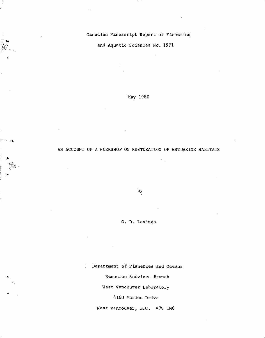Canadian Manuscript Report of Fisheries

and Aquatic Sciences No. 1571

May 1980

## AN ACCOUNT OF A WORKSHOP ON RESTORATION OF ESTUARINE HABITATS

by

## C. D. Levings

Department of Fisheries and Oceans

Resource Services Branch

West Vancouver Laboratory

4160 Marine Drive

West Vancouver, B.C. V7V 1N6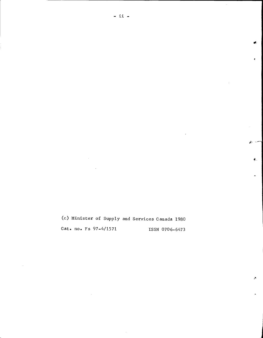(c) Minister of Supply and Services Canada 1980 Cat. no. Fs 97-4/1571 ISSN 0706-6473

 $-$  ii  $-$ 

Mi

±L

r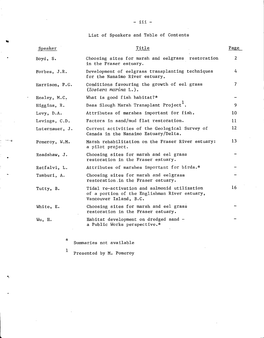# List of **Speakers** and Table **of Contents**

| Speaker        | Title                                                                                                                   | Page         |
|----------------|-------------------------------------------------------------------------------------------------------------------------|--------------|
| Boyd, S.       | Choosing sites for marsh and eelgrass restoration<br>in the Fraser estuary.                                             | $\mathbf{2}$ |
| Forbes, J.R.   | Development of eelgrass transplanting techniques<br>for the Nanaimo River estuary.                                      | 4            |
| Harrison, P.G. | Conditions favouring the growth of eel grass<br>$(Zostera \, \textit{marina} \, \mathbb{L}.)$ .                         | 7            |
| Healey, M.C.   | What is good fish habitat?*                                                                                             |              |
| Higgins, R.    | Deas Slough Marsh Transplant Project <sup>1</sup> .                                                                     | 9            |
| Levy, D.A.     | Attributes of marshes important for fish.                                                                               | 10           |
| Levings, C.D.  | Factors in sand/mud flat restoration.                                                                                   | 11           |
| Luternauer, J. | Current activities of the Geological Survey of<br>Canada in the Nanaimo Estuary/Delta.                                  | 12           |
| Pomeroy, W.M.  | Marsh rehabilitation on the Fraser River estuary:<br>a pilot project.                                                   | 13           |
| Readshaw, J.   | Choosing sites for marsh and eel grass<br>restoration in the Fraser estuary.                                            |              |
| Retfalvi, L.   | Attributes of marshes important for birds.*                                                                             |              |
| Tamburi, A.    | Choosing sites for marsh and eelgrass<br>restoration in the Fraser estuary.                                             |              |
| Tutty, B.      | Tidal re-activation and salmonid utilization<br>of a portion of the Englishman River estuary,<br>Vancouver Island, B.C. | 16           |
| White, E.      | Choosing sites for marsh and eel grass<br>restoration in the Fraser estuary.                                            |              |
| Wu, H.         | Habitat development on dredged sand -<br>a Public Works perspective.*                                                   |              |
|                |                                                                                                                         |              |

 $\star$ **Summaries** not available

y

W

1 Presented by M. Pomeroy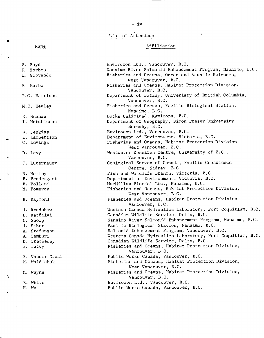#### Name

S. Boyd R. Forbes

### Affiliation

 $\mathcal{L}$ 

Envirocon Ltd., Vancouver, B.C. Nanaimo River Salmonid Enhancement Program, Nanaimo, B.C. Fisheries and Oceans, Ocean and Aquatic Sciences, West Vancouver, B.C. Fisheries and Oceans, Habitat Protection Division. Vancouver, B.C. Department of Botany, Univeristy of British Columbia, Vancouver, B.C. Fisheries and Oceans, Pacific Biological Station, Nanaimo, B.C. Ducks Unlimited, Kamloops, B.C. Department of Geography, Simon Fraser University Burnaby, B.C. Envirocon Ltd., Vancouver, B.C. Department of Environment, Victoria, B.C. Fisheries and Oceans, Habitat Protection Division, West Vancouver, B.C. Westwater Research Centre, University of B.C., Vancouver, B.C. Geological Survey of Canada, Pacific Geoscience Centre, Sidney, B.C. Fish and Wildlife Branch, Victoria, B.C. Department of Environment, Victoria, B.C. MacMillan Bloedel Ltd., Nanaimo, B.C. Fisheries and Oceans, Habitat Protection Division, West Vancouver, B.C. Fisheries and Oceans, Habitat Protection Division Vancouver, B.C. Western Canada Hydraulics Laboratory, Port Coquitlam, B.C. Canadian Wildlife Service, Delta, B.C. Nanaimo River Salmonid Enhancement Program, Nanaimo, B.C. Pacific Biological Station, Nanaimo, B.C. Salmonid Enhancement Program, Vancouver, B.C, Western Canada Hydraulics Laboratory, Port Coquitlam, B.C. Canadian Wildlife Service, Delta, B.C. Fisheries and Oceans, Habitat Protection Division, Vancouver, B.C. Public Works Canada, Vancouver, B.C. Fisheries and Oceans, Habitat Protection Division, West Vancouver, B.C. Fisheries and Oceans, Habitat Protection Division, Vancouver, B.C. Envirocon Ltd., Vancouver, B.C. Public Works Canada, Vancouver, B.C.

L. Giovando R. Harbo P.G. Harrison M.C. Healey E. Hennan I. Hutchinson B. Jenkins K. Lambertson C. Levings D. Levy J. Luternauer R. Morley B. Pendergast B. Pollard M. Pomeroy B. Raymond J. Readshaw L. Retfalvi C. Shoop J. Sibert A. Stefanson A. Tamburi

**mr** 

- D. Trethewey
- B. Tutty

P. Vander Graaf

- M. Waldichuk
- M. Wayne
- E. White

H. Wu

- iv -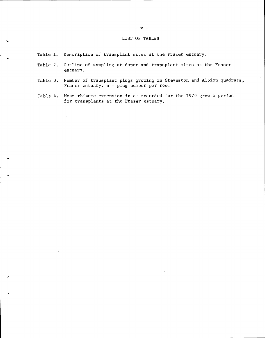## LIST OF TABLES

Table 1. Description of transplant sites at the Fraser estuary.

- Table 2. Outline of sampling at donor and transplant sites at the Fraser estuary.
- Table 3. Number of transplant plugs growing in Steveston and Albion quadrats, Fraser estuary. n = plug number per row.
- Table 4. Mean rhizome extension in cm recorded for the 1979 growth period for transplants at the Fraser estuary.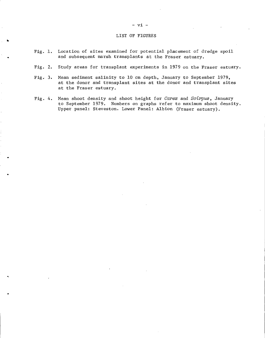## LIST OF FIGURES

- Fig. 1. Location of sites examined for potential placement of dredge spoil and subsequent marsh transplants at the Fraser estuary.
- Fig. 2. Study areas for transplant experiments in 1979 on the Fraser estuary.
- Fig. 3. Mean sediment salinity to 10 cm depth, January to September 1979, at the donor and transplant sites at the donor and transplant sites at the Fraser estuary.
- Fig. 4. Mean shoot density and shoot height for Carex and Scirpus, January to September 1979. Numbers on graphs refer to maximum shoot density. Upper panel: Steveston. Lower Panel: Albion (Fraser estuary).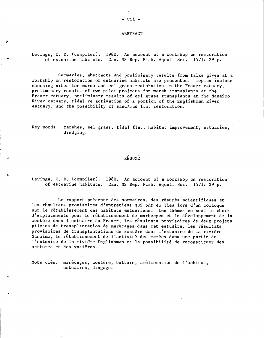#### ABSTRACT

Levings, C. D. (compiler). 1980. An account of a Workshop on restoration of estuarine habitats. Can. MS Rep. Fish. Aquat. Sci: 1571: 29 p.

Summaries, abstracts and preliminary results from talks given at a workship on restoration of estuarine habitats are presented. Topics include choosing sites for marsh and eel grass restoration in the Fraser estuary, preliminary results of two pilot projects for marsh transplants at the Fraser estuary, preliminary results of eel grass transplants at the Nanaimo River estuary, tidal re-activation of a portion of the Englishman River estuary, and the possibility of sand/mud flat restoration.

Key words: Marshes, eel grass, tidal flat, habitat improvement, estuaries, dredging.

## RÉSUMÉ

Levings, C. D. (compiler). 1980. An account of a Workshop on restoration of estuarine habitats. Can. MS Rep. Fish. Aquat. Sci. 1571: 29 p.

Le rapport présente des sommaires, des résumés scientifiques et les résultats provisoires d'entretiens qui ont eu lieu lors d'un colloque sur le rétablissement des habitats estuariens. Les thèmes en sont le choix d'emplacements pour le rétablissement de marécages et le développement de la zostère dans l'estuaire du Fraser, les résultats provisoires de deux projets pilotes de transplantation de marécages dans cet estuaire, les résultats provisoires de transplantations de zostère dans l'estuaire de la rivière Nanaimo, le rétablissement de l'activité des marées dans une partie de l'estuaire de la rivière Englishman et la possibilité de reconstituer des battures et des vasières.

Mots clés: marécages, zostère, batture, amélioration de l'habitat, estuaires, dragage.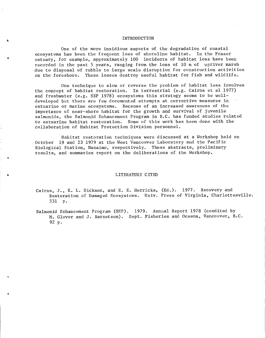#### **INTRODUCTION**

One of the more insidious aspects of the degradation of coastal ecosystems has been the frequent loss of shoreline habitat. In the Fraser estuary, for example, approximately 100 incidents of habitat loss have been recorded in the past 5 years, ranging from the loss of 10 m of upriver marsh due to disposal of rubble to large scale disruption for construction activities on the foreshore. These losses destroy useful habitat for fish and wildlife.

One technique to slow or reverse the problem of habitat loss involves the concept of habitat restoration. In terrestrial (e.g. Cairns et al 1977) and freshwater (e.g. SEP 1978) ecosystems this strategy seems to be welldeveloped but there are few documented attempts at corrective measures in estuarine or marine ecosystems. Because of an increased awareness of the importance of near-shore habitat for the growth and survival of juvenile salmonids, the Salmonid Enhancement Program in B.C. has funded studies related to estuarine habitat restoration. Some of this work has been done with the collaboration of Habitat Protection Division personnel.

Habitat restoration techniques were discussed at a Workshop held on October 19 and 23 1979 at the West Vancouver Laboratory and the Pacific Biological Station, Nanaimo, respectively. These abstracts, preliminary results, and summaries report on the deliberations of the Workshop.

#### LITERATURE CITED

Cairns, J., K. L. Dickson, and E. E. Herricks, (Ed.). 1977. Recovery and Restoration of Damaged Ecosystems. Univ. Press of Virginia, Charlottesville. 531 p.

Salmonid Enhancement Program (SEP). 1979. Annual Report 1978 (coedited by M. Glover and J. Barnetson). Dept. Fisheries and Oceans, Vancouver, B.C. 92 p.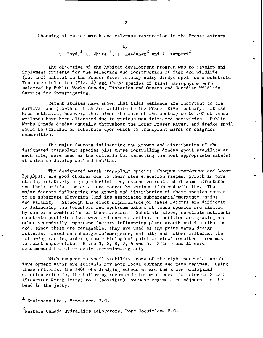Choosing sites for marsh and eelgrass restoration in the Fraser estuary

z.

by  
S. Boyd,
$$
^{1}
$$
 E. White, $^{1}$ , J. Readshaw<sup>2</sup> and A. Tamburi<sup>2</sup>

The objective of the habitat development program was to develop and implement criteria for the selection and construction of fish and wildlife (wetland) habitat in the Fraser River estuary using dredge spoil as a substrate. Ten potential sites (Fig. 1) and three species of tidal macrophyres were selected by Public Works Canada, Fisheries and Oceans and Canadian Wildlife Service for investigation.

Recent studies have shown that tidal wetlands are important to the survival and growth of fish and wildlife in the Fraser River estuary. It has been estimated, however, that since the turn of the century up to 70% of these wetlands have been alienated due to various man-initiated activities. Public Works Canada dredge annually throughout the lower Fraser River, and dredge spoil could be utilized as substrate upon which to transplant marsh or eelgrass communities.

The major factors influencing the growth and distribution of the designated transplant species plus those controlling dredge spoil stability at each site, were used as the criteria for selecting the most appropriate site(s) at which to develop wetland habitat.

The designated marsh transplant species, Scirpus americanus and Carex  $lyngbyei$ , are good choices due to their wide elevation ranges, growth in pure stands, relatively high productivities, extensive root and rhizome structures and their utilization as a food source by various fish and wildlife. The Major factors influencing the growth and distribution of these species appear to be substrate elevation (and its associated submergence/emergence ratio) and salinity. Although the exact significance of these factors are difficult to delineate, the foreshore and upstream extent of these species are limited by one or a combination of these factors. Substrate slope, substrate nutrients, substrate particle size, wave and current action, competition and grazing are other secondarily important factors influencing plant growth and distribution and, since these are manageable, they are used as the prime marsh design criteria. Based on submergence/emergence, salinity and other criteria, the following ranking order (from a biological point of view) resulted: from most to least appropriate - Sites 3, 2, 8, 7, 6 and 5. Site 9 and 10 were recommended for pilot-scale transplanting only.

With respect to spoil stability, none of the eight potential marsh development sites are suitable for both local current and wave regimes. Using these criteria, the 1980 DPW dredging schedule, and the above biological selction criteria, the following recommendation was made: to relocate Site 3 (Steveston North Jetty) to a (possible) low wave regime area adjacent to the bend in the jetty.

 $-2 -$ 

<sup>1</sup> Envirocon Ltd., Vancouver, B.C.

 $^{\rm Z}$ Western Canada Hydraulics Laboratory, Port Coquitlam, B.C.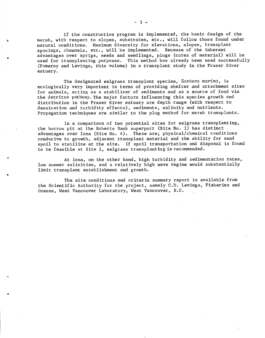If the construction program is implemented, the basic design of the marsh, with respect to slopes, substrates, etc., will follow those found under natural conditions. Maximum diversity for elevations, slopes, transplant spacings, channels, etc., will be implemented. Because of the inherent advantages over sprigs, seeds and seedlings, plugs (cores of material) will be used for transplanting purposes. This method has already been used successfully (Pomeroy and Levings, this volume) in a transplant study in the Fraser River estuary.

The designated eelgrass transplant species, Zostera marina, is ecologically very important in terms of providing shelter and attachment sites for animals, acting as a stabilizer of sediments and as a source of food via the detritus pathway. The major factors influencing this species growth and distribution in the Fraser River estuary are depth range (with respect to dessication and turbidity effects), sediments, salinity and nutrients. Propagation techniques are similar to the plug method for marsh transplants.

In a comparison of two potential sites for eelgrass transplanting, the borrow pit at the Roberts Bank superport (Site No. 1) has distinct advantages over Iona (Site No. 4). These are; physical/chemical conditions conducive to growth, adjacent transplant material and the ability for sand spoil to stabilize at the site. If spoil transportation and disposal is found to be feasible at Site 1, eelgrass transplanting is recommended.

At Iona, on the other hand, high turbidity and sedimentation rates, low summer salinities, and a relatively high wave regime would substantially limit transplant establishment and growth.

The site conditions and criteria summary report is available from the Scientific Authority for the project, namely C.D. Levings, Fisheries and Oceans, West Vancouver Laboratory, West Vancouver, B.C.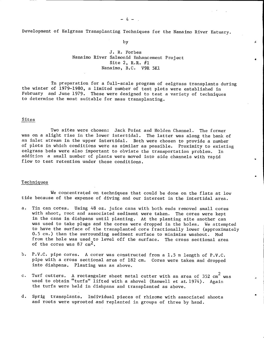**Development of Eelgrass Transplanting Techniques for the Nanaimo River Estuary.**

by

 $\lambda$ 

## J. R. Forbes Nanaimo River Salmonid Enhancement Project Site 2, R.R. #1 Nanaimo, B.C. V9R 5K1

In preparation for a full-scale program of eelgrass transplants during the winter of 1979-1980, a limited number of test plots were established in February and June 1979. These were designed to test a variety of techniques to determine the most suitable for mass transplanting.

#### Sites

Two sités were chosen: Jack Point and Holden Channel. The former was on a slight rise in the lower intertidal. The latter was along the bank of an inlet stream in the upper intertidal. Both were chosen to provide a number of plots in which conditions were as similar as possible. Proximity to existing eelgrass beds were also important to obviate the transportation problem. In addition a small number of plants were moved into side channels with rapid flow to test retention under these conditions.

#### Techniques

We concentrated on techniques that could be done on the flats at low tide because of the expense of diving and our interest in the intertidal area.

- a. Tin can cores. Using 48 oz. juice cans with both ends removed small cores with shoot, root and associated sediment were taken. The cores were kept in the cans in dishpans until planting. At the planting site another can was used to take plugs and the cores were dropped in the holes. We attempted to have the surface of the transplanted core fractionally lower (approximately 0.5 cm.) than the surrounding sediment surface to minimize washout. Mud from the hole was used to level off the surface. The cross sectional area of the cores was 87  $cm<sup>2</sup>$ .
- b. P.V.C. pipe cores. A corer was constructed from a 1.5 m length of P.V.C. pipe with a cross sectional area of 182 cm. Cores were taken and dropped into dishpans. Planting was as above.
- c. Turf cutters. A rectangular sheet metal cutter with an area of 352  $cm<sup>2</sup>$  was used to obtain "turfs" lifted with a shovel (Ranwell et at. 1974). Again the turfs were held in dishpans and transplanted as above,
- d. Sprig transplants. Individual pieces of rhizome with associated shoots and roots were uprooted and replanted in groups of three by hand.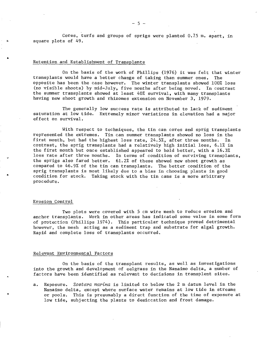Cores, turfs and groups of sprigs were planted 0.75 m. apart, in square plots of 49.

### Retention and Establishment of Transplants

On the basis of the work of Phillips (1976) it was felt that winter transplants would have a better change of taking than summer ones. The opposite has been the case however. The winter transplants showed 100% loss (no visible shoots) by mid-July, five months after being moved. In contrast the summer transplants showed at least 40% survival, with many transplants having new shoot growth and rhizomes extension on November 3, 1979.

The generally low success rate is attributed to lack of sediment saturation at low tide. Extremely minor variations in elevation had a major effect on survival.

With respect to techniques, the tin can cores and sprig transplants represented the extremes. Tin can summer transplants showed no loss in the first month, but had the highest loss rate, 24.5%, after three months. In contrast, the sprig transplants had a relatively high initial loss, 6.1% in the first month but once established appeared to hold better, with a 16.3% loss rate after three months. In terms of condition of surviving transplants, the sprigs also fared better. 61.2% of these showed new shoot growth as compared to 46.9% of the tin can transplants. The better condition of the sprig transplants is most likely due to a bias in choosing plants in good condition for stock. Taking stock with the tin cans is a more arbitrary procedure.

#### Erosion Control

•

Two plots were covered with 5 cm wire mesh to reduce erosion and anchor transplants. Work in other areas has indicated some value in some form of protection (Phillips 1974). This particular technique proved detrimental however, the mesh acting as a sediment trap and substrate for algal growth. Rapid and complete loss of transplants occurred.

#### Relevant Environmental Factors

On the basis of the transplant results, as well as investigations into the growth and development of eelgrass in the Nanaimo delta, a number of factors have been identified as relevant to decisions in transplent sites.

a. Exposure. Zostera marina is limited to below the 2 m datum level in the Nanaimo delta, except where surface water remains at low tide in streams or pools. This is presumably a direct function of the time of exposure at low tide, subjecting the plants to desiccation and frost damage.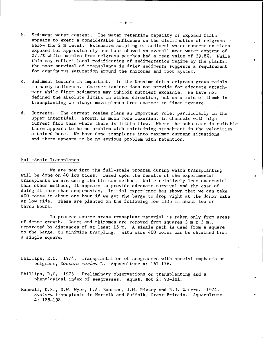b. Sediment water content. The water retention capacity of exposed flats appears to exert a considerable influence on the distribution of eelgrass below the 2 m level. Extensive sampling of sediment water content on flats exposed for approximately one hour showed an overall mean water content of 27.7% while samples from eelgrass patches had a mean value of 29.8%. While this may reflect local modification of sedimentation regime by the plants, the poor survival of transplants in drier sediments suggests a requirement for continuous saturation around the rhizomes and root system.

Ã.

- c. Sediment texture is important. In the Nanaimo delta eelgrass grows mainly in sandy sediments. Coarser texture does not provide for adequate attachment while finer sediments may inhibit nutrient exchange. We have not defined the absolute limits in either direction, but as a rule of thumb in transplanting we always move plants from coarser to finer texture.
- d. Currents. The current regime plans an important role, particularly in the upper intertidal. Growth is much more luxuriant in channels with high current flow than where there is little flow. Where the substrate is suitable there appears to be no problem with maintaining attachment in the velocities attained here. We have done tranplants into maximum current situations and there appears to be no serious problem with retention.

## Full-Scale Transplants

We are now into the full-scale program during which transplanting will be done on 40 low tides. Based upon the results of the experimental transplants we are using the tin can method. While relatively less successful than other methods, it appears to provide adequate survival and the ease of doing it more than compensates. Initial experience has shown that we can take 400 cores in about one hour if we get the barge to drop right at the donor site at low tide. These are planted on the following low tide in about two or three hours.

To protect source areas transplant material is taken only from areas of dense growth. Cores and rhizomes are removed from squares 3 m x 3 m., separated by distances of at least 15 m. A single path is used from a square to the barge, to minimize trampling. With care 400 cores can be obtained from a single square.

- Phillips, R.C. 1974. Transplantation **of seagrasses** with special emphasis on **eelgrass,** Zostera marina L. Aquaculture 4: 161-176.
- Phillips, R.C. 1976. Preliminary observations on transplanting and a phenological index of seagrasses. Aquat. Bot 2: 93-101.
- Ranwell, D.S., D.W. Wyer, L.A. Boorman, J.M. Pizzey and R.J. Waters. 1974. Zostera transplants in Norfolk and Suffolk, Great Britain. Aquaculture 4: 185-198.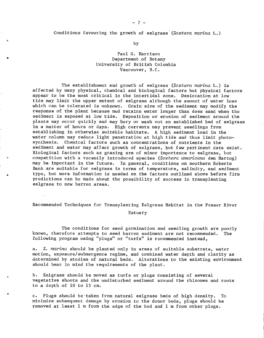## Conditions favouring the growth of eelgrass (Zostera marina L.)

by

## Paul G. Harrison Department of Botany University of British Columbia Vancouver, B.C.

The establishment and growth of eelgrass (Zostera marina L.) is affected by many physical, chemical and biological factors but physical factors appear to be the most critical in the intertidal zone. Desiccation at low tide may limit the upper extent of eelgrass although the amount of water loss which can be tolerated is unknown. Grain size of the sediment may modify the response of the plant because mud retains water longer than does sand when the sediment is exposed at low tide. Deposition or erosion of sediment around the plants may occur quickly and may bury or wash out an established bed of eelgrass in a matter of hours or days. High currents may prevent seedlings from establishing in otherwise suitable habitats. A high sediment load in the water column may reduce light penetration at high tide and thus limit photosynthesis. Chemical factors such as concentrations of nutrients in the sediment and water may affect growth of eelgrass, but few pertinent data exist. Biological factors such as grazing are of minor importance to eelgrass, but competition with a recently introduced species (Zostera americana den Hartog) may be important in the future. In general, conditions on southern Roberts Bank are suitable for eelgrass in terms of temperature, salinity, and sediment type, but more information is needed on the factors outlined above before firm predictions can be made about the possibility of success in transplanting eelgrass to now barren areas.

#### Recommended Techniques for Transplanting Eelgrass Habitat in the Fraser River

#### Estuary

The conditions for seed germination and seedling growth are poorly known, therefore attempts to seed barren sediment are not recommended. The following program using "plugs" or "turfs" is recommended instead,

a. Z. marina should be planted only in areas of suitable substrate, water motion, exposure/submergence regime, and combined water depth and clarity as determined by studies of natural beds. Alterations to the existing environment should bear in mind the requirements of the plant.

b. Eelgrass should be moved as turfs or plugs consisting of several vegetative shoots and the undisturbed sediment around the rhizomes and roots to a depth of 10 to 15 cm.

c. Plugs should be»taken from natural eelgrass beds of high density. To minimize subsequent damage by erosion to the donor beds, plugs should be removed at least 1 m from the edge of the bed and 1 m from other plugs.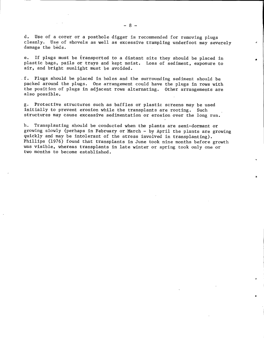d. Use of a corer or a posthole digger is recommended for removing plugs cleanly. Use of shovels as well as excessive trampling underfoot may severely damage the béds.

 $\mathbf{r}$ 

e. If plugs must be transported to a distant site they should be placed in plastic bags, pails or trays and kept moist. Loss of sediment, exposure to air, and bright sunlight must be avoided.

.f. Plugs should be placed in holes and the surrounding sediment should be packed around the plugs. One arrangement could have the plugs in rows with the position of plugs in adjacent rows alternating. Other arrangements are also possible.

g. Protective structures such as baffles or plastic screens may be used initially to prevent erosion while the transplants are rooting. Such structures may cause excessive sedimentation or erosion over the long run.

h. Transplanting should be conducted when the plants are semi-dormant or growing slowly (perhaps in February or March - by April the plants are growing quickly and may be intolerant of the stress involved in transplanting). Phillips (1976) found that transplants in June took nine months before growth was visible, whereas transplants in late winter or spring took only one or two months to become established.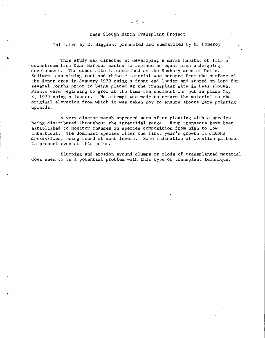## Deas Slough March Transplant Project

Initiated by R. Higgins; presented and summarized by M. Pomeroy

This study was directed at developing a marsh habitat of 1115  $m^2$ downstream from Deas Harbour marina to replace an equal area undergoing development. The donor site is described as the Sunbury area of Delta. Sediment containing root and rhizome material was scraped from the surface of the donor area in January 1979 using a front end loader and stored on land for several months prior to being placed at the transplant site in Deas slough. Plants were beginning to grow at the time the sediment was put in place May 3, 1979 using a loader. No attempt was made to return the material to the original elevation from which it was taken nor to ensure shoots were pointing upwards.

A very diverse marsh appeared soon after planting with a species being distributed throughout the intertidal range. Four transects have been established to monitor changes in species composition from high to low intertidal. The dominant species after the first year's growth is Juncus articulatus, being found at most levels. Some indication of zonation patterns is present even at this point.

Slumping and erosion around clumps or clods of transplanted material does seem to be a potential problem with this type of transplant technique.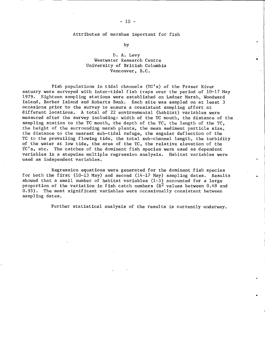### Attributes of marshes important for fish

by

## D. A. Levy Westwater Research Centre University of British Columbia Vancouver, B.C.

Fish populations in tidal channels (TC's) of the Fraser River estuary were surveyed with inter-tidal fish traps over the period of 10-17 May 1979. Eighteen sampling stations were established on Ladner Marsh, Woodward Island, Barber Island and Roberts Bank. Each site was sampled on at least 3 occasions prior to the survey to ensure a consistent sampling effort at different locations. A total of 22 environmental (habitat) variables were measured after the survey including: width of the TC mouth, the distance of the sampling station to the TC mouth, the depth of the TC, the length of the TC, the height of the surrounding marsh plants, the mean sediment particle size, the distance to the nearest sub-tidal refuge, the angular deflection of the TC to the prevailing flowing tide, the total sub-channel length, the turbidity of the water at low tide, the area of the TC, the relative elevation of the iC's, etc. The catches of the dominant fish species were used as dependent variables in a stepwise multiple regression analysis. Habitat variables were used as independent variables.

Regression equations were generated for the dominant fish species for both the first (10-13 May) and second (14-17 May) sampling dates. Results showed that a small number of habitat variables  $(1-3)$  accounted for a large proportion of the variation in fish catch numbers  $(R^2 \text{ values between } 0.48 \text{ and }$ 0.93). The most significant variables were occasionally consistent between sampling dates.

Further statistical analysis of the results is currently underway.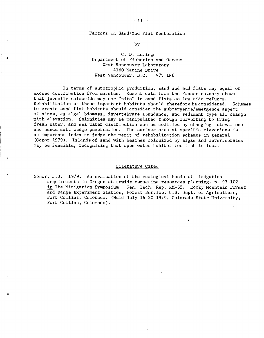#### Factors in Sand/Mud Flat Restoration

## by

## C. D. Levings Department of Fisheries and Oceans West Vancouver Laboratory 4160 Marine Drive West Vancouver, B.C. V7V 1N6

In terms of autotrophic production, sand and mud flats may equal or exceed contribution from marshes. Recent data from the Fraser estuary shows that juvenile salmonids may use "pits" in sand flats as low tide refuges. Rehabilitation of these important habitats should thereforebeconsidered. Schemes to create sand flat habitats should consider the submergence/emergence aspect of sites, as algal biomass, invertebrate abundance, and sediment type all change with elevation. Salinities may be manipulated through culverting to bring fresh water, and sea water distribution can be modified by changing elevations and hence salt wedge penetration. The surface area at specific elevations is an important index to judge the merit of rehabilitation schemes in general (Gonor 1979). Islands of sand with beaches colonized by algae and invertebrates may be feasible, recognizing that open water habitat for fish is lost.

#### Literature Cited

Gonor, J.J. 1979. An evaluation of the ecological basis of mitigation requirements in Oregon statewide estuarine resources planning. p. 93-102 in The Mitigation Symposium. Gen. Tech. Rep. RM-65. Rocky Mountain Forest and Range Experiment Station, Forest Service, U.S. Dept. of Agriculture, Fort Collins, Colorado. (Held July 16-20 1979, Colorado State University, Fort Collins, Colorado).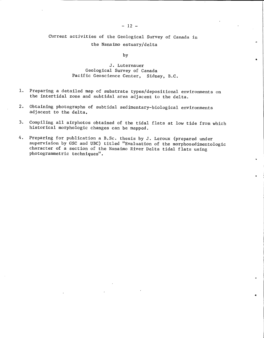## Current activities of the Geological Survey of Canada in the Nanaimo estuary/delta

by

x

## J. Luternauer Geological Survey of Canada Pacific Geoscience Center, Sidney, B.C.

- l. Preparing a detailed map of substrate types/depositional environments on the intertidal zone and subtidal area adjacent to the delta.
- 2. Obtaining photographs of subtidal sedimentary-biological environments adjacent to the delta.
- 3. Compiling all airphotos obtained of the tidal flats at low tide from which historical morphologic changes can be mapped.
- 4. Preparing for publication a B.Sc. thesis by J. Leroux (prepared under supervision by GSC and UBC) titled "Evaluation of the morphosedimentologic character of a section of the Nanaimo River Delta tidal flats using photogrammetric techniques".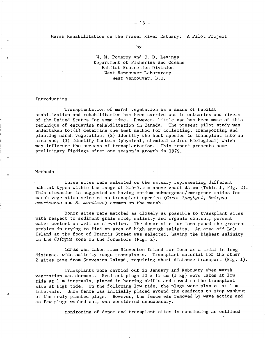by

W. M. Pomeroy and C. D. Levings Department of Fisheries and Oceans Habitat Protection Division West Vancouver Laboratory West Vancouver, B.C.

#### Introduction

Transplantation of marsh vegetation as a means of habitat stabilization and rehabilitation has been carried out in estuaries and rivers of the United States for some time. However, little use has been made of this technique of estuarine rehabilitation in Canada. The present pilot study was undertaken to:(l) determine the best method for collecting, transporting and planting marsh vegetation; (2) identify the best species to transplant into an area and; (3) identify factors (physical, chemical and/or biological) which may influence the success of transplantation. This report presents some preliminary findings after one season's growth in 1979.

#### Methods

•

Three sites were selected on the estuary representing different habitat types within the range of  $2.5-3.5$  m above chart datum (Table 1, Fig. 2). This elevation is suggested as having optium submergence/emergence ratios for marsh vegetation selected as transplant species (Carex lyngbyei, Scirpus americanus and S. maritmus) common on the marsh.

Donor sites were matched as closely as possible to transplant sites with respect to sediment grain **size,** salinity and organic content, percent water content as well as elevation. The donor site for Iona posed the greatest problem in trying to find an area of high enough salinity. An area off L'ulu Island at the foot of Francis Street was selected, having the highest salinity in the *Scirpus* zone on the foreshore (Fig. 2).

Carex was taken from Steveston Island for Iona as a trial in long distance, wide salinity range transplants. Transplant material for the other 2 sites came from Steveston Island, requiring short distance transport (Fig. 1).

Transplants were carried out in January and February when marsh vegetation was dormant. Sediment plugs 10 x 15 cm (1 kg) were taken at low tide at 1 m intervals, placed in herring skiffs and towed to the transplant site at high tide. On the following low tide, the plugs were planted at 1 m intervals. Snow fence was initially placed around the quadrats to stop washout of the newly planted plugs. However, the fence was removed by wave action and as few plugs washed out, was considered unnecessary.

Monitoring of donor and transplant sites is continuing as outlined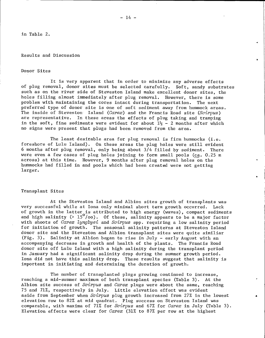in Table 2.

Results and Discussion

Donor Sites

It is very apparent that in order to minimize any adverse effects of plug removal, donor sites must be selected carefully. Soft, sandy substrates such as on the river side of Steveston Island make excellent donor sites, the holes filling almost immediately after plug removal. However, there is some problem with maintaining the cores intact during transportation. The next preferred type of donor site is one of soft sediment away from hummock areas. The inside of Steveston Island (Carex) and the Francis Road site (Scirpus) are representative. In these areas the effects of plug taking and tramping in the soft, fine sediments were evident for about  $1\frac{1}{2}$  - 2 months after which no signs were present that plugs had been removed from the area.

The least desirable area for plug removal is firm hummocks  $(i.e.$ foreshore of Lulu Island). On these areas the plug holes were still evident <sup>6</sup>months after plug removal, only being about 3/4 filled by sediment. There were even a few cases of plug holes joining to form small pools (ca. 0.25 m across) at this time. However, 9 months after plug removal holes on the hummocks had filled in and pools which had been created were not getting larger.

#### Transplant Sites

At the Steveston Island and Albion sites growth of transplants was very successful while at Iona only minimal short term growth occurred. Lack of growth in the latter is attributed to high energy (waves), compact sediments and high salinity ( $> 15^{\circ}/\infty$ ). Of these, salinity appears to be a major factor with shoots of Carex lyngbyei and Scirpus spp. requiring a low salinity period for initiation of growth. The seasonal salinity patterns at Steveston Island donor site and the Steveston and Albion transplant sites were quite similiar (Fig. 3). Salinity at Albion began to rise in July - early August with an accompanying decrease in growth and health of the plants. The Francis Road donor site off Lulu Island with a high salinity during the transplant period in January had a significant salinity drop during the summer growth period. Iona did not have this salinity drop. These results suggest that salinity is important in initiating and determining the duration of growth.

The number of transplanted plugs growing continued to increase, reaching a mid-summer maximum of both transplant species (Table 3). At the Albion site success of  $Scirpus$  and  $Carex$  plugs were about the same, reaching 75 and 71%, respectively in July. Little elevation effect was evident aside from September when Scirpus plug growth increased from 27% in the lowest elevation row to 82% at mid quadrat. Plug success on Steveston Island was comparable, with maxima of 71% for Scirpus and 67% for Carex in July (Table 3). Elevation effects were clear for  $Carex$  (31% to 87% per row at the highest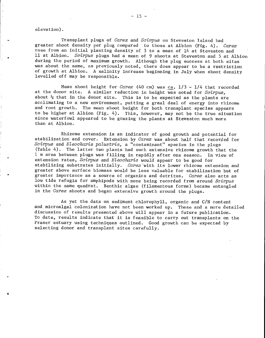#### elevation).

Transplant plugs of Carex and Scirpus on Steveston Island had greater shoot density per plug compared to those at Albion (Fig. 4). Carex rose from an initial planting density of 3 to a mean of 14 at Steveston and 11 at Albion. Scirpus plugs had a mean of 9 shoots at Steveston and 5 at Albion during the period of maximum growth. Although the plug success at both sites was about the same, as previously noted, there does appear to be a restriction of growth at Albion. A salinity increase beginning in July when shoot density levelled off may be responsible.

Mean shoot height for Carex (40 cm) was ca.  $1/3 - 1/4$  that recorded at the donor site. A similar reduction in height was noted for  $Scirpus$ , about  $\frac{1}{2}$  that in the donor site. This is to be expected as the plants are acclimating to a new environment, putting a greal deal of energy into rhizome and root growth. The mean shoot height for both transplant species appears to be higher at Albion (Fig. 4). This, however, may not be the true situation since waterfowl appeared to be grazing the plants at Steveston much more than at Albion.

Rhizome extension is an indicator of good growth and potential for stabilization and cover. Extension by Carex was about half that recorded for Scirpus and Eleocharis palustris, a "contaminant" species in the plugs (Table 4). The latter two plants had such extensive rhizome growth that the 1 m area between plugs was filling in rapidly after one season. In view of extension rates, Scirpus and Eleocharis would appear to be good for stabilizing substrates initially. Carex with its lower rhizome extension and greater above surface biomass would be less valuable for stabilization but of greater importance as a source of organics and detritus. Carex also acts as low tide refugia for amphipods with none being recorded from around Scirpus within the same quadrat. Benthic algae (filamentous forms) became entangled in the Carex shoots and began extensive growth around the plugs.

As yet the data on sediment chlorophyll, organic and C/N content and microalgal colonization have not been worked up. These and a more detailed discussion of results presented above will appear in a future publication. To date, results indicate that it is feasible to carry out transplants on the Fraser estuary using techniques outlined. Good growth can be expected by selecting donor and transplant sites carefully.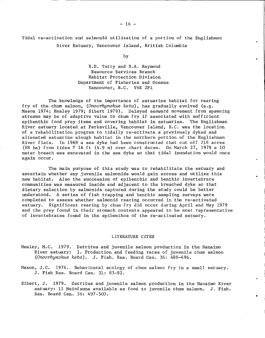Tidal re-activation and salmonid utilization of a portion of the Englishman River Estuary, Vancouver Island, British Columbia

by

B.D. Tutty and B.A. Raymond Resource Services Branch Habitat Protection Division Department of Fisheries and Oceans Vancouver, B.C. V6E 2P1

The knowledge of the importance of estuarine habitat for rearing fry of the chum salmon, (Oncorhynchus keta), has gradually evolved (e.g. Mason 1974; Healey 1979; Sibert 1979). Delayed seaward movement from spawning streams may be of adaptive value to chum fry if associated with sufficient epibenthic food prey items and covering habitat in estuaries. The Englishman River estuary located at Parksville, Vancouver Island, B.C. was the location of a rehabilitation program to tidally re-activate a previously dyked and alienated estuarine slough habitat in the northern portion of the Englishman River flats. In 1969 a sea dyke had been constructed that cut off 218 acres (88 ha) from tides  $5$  16 ft (4.9 m) over chart datum. On March 27, 1979 a 10 meter breach was excavated in the sea dyke so that tidal inundation would once again occur.

The main purpose of this study was to rehabilitate the estuary and ascertain whether any juvenile salmonids would gain access and utilize this new habitat. Also the succession of epibenthic and benthic invertebrate communities was measured inside and adjacent to the breached dyke so that dietary selection by salmonids captured during the study could be better understood. A series of fish trapping and benthic sampling surveys were completed to assess whether salmonid rearing occurred in the re-activated estuary. Significant rearing by chum fry did occur during April and May 1979 and the prey found in their stomach contents appeared to be most representative of invertebrates found in the epibenthos of the re-activated estuary.

#### LITERATURE CITES

- Healey, M.C. 1979. Detritus and juvenile salmon production in the Nanaimo River estuary: I. Production and feeding rates of juvenile chum salmon (Oncorhynchus keta). J. Fish. Res. Board Can. 36: 488-496.
- Mason, J.C. 1974. Behavioural ecology of chum salmon fry in a small estuary. J. Fish Res. Board Can. 31: 83-92.
- Sibert, J. 1979. Detritus and juvenile salmon production in the Nanaimo River estuary: II Meiofauna available as food to juvenile chum salmon. J. Fish. Res. Board Can. 36: 497-503.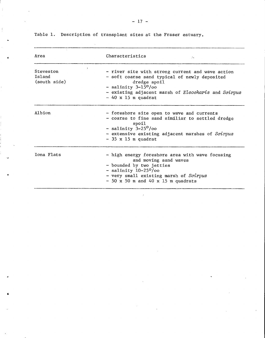| Area                                | Characteristics<br>$\sim$                                                                                                                                                                                                                                 |
|-------------------------------------|-----------------------------------------------------------------------------------------------------------------------------------------------------------------------------------------------------------------------------------------------------------|
| Steveston<br>Island<br>(south side) | - river site with strong current and wave action<br>- soft coarse sand typical of newly deposited<br>dredge spoil<br>$-$ salinity $3-15^{\circ}/\infty$<br>- existing adjacent marsh of <i>Eleocharis</i> and <i>Scirpus</i><br>$-40 \times 15$ m quadrat |
| Albion                              | - foreshore site open to wave and currents<br>- coarse to fine sand similiar to settled dredge<br>spoil<br>$-$ salinity 3-25 <sup>0</sup> /00<br>- extensive existing adjacent marshes of Scirpus<br>$-35 \times 15$ m quadrat                            |
| Iona Flats                          | - high energy foreshore area with wave focusing<br>and moving sand waves<br>- bounded by two jetties<br>$-$ salinity $10-25^{\circ}/\infty$<br>- very small existing marsh of Scirpus<br>$-50$ x 50 m and 40 x 15 m quadrats                              |

Table 1. Description of transplant sites at the Fraser estuary.

r

÷

,

©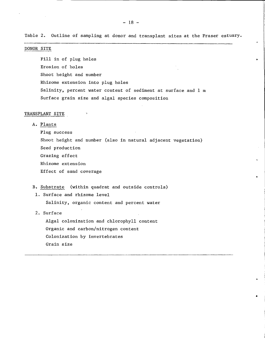Table 2. Outline of sampling at donor and transplant sites at the Fraser estuary.

#### DONOR SITE

Fill in of plug holes Erosion of holes Shoot height and number Rhizome extension into plug holes Salinity, percent water content of sediment at surface and 1 m Surface grain size and algal species composition

## TRANSPLANT SITE

A. Plants

Plug success Shoot height and number (also in natural adjacent vegetation) Seed production Grazing effect Rhizome extension Effect of sand coverage

ò

- B. Substrate (within quadrat and outside controls)
- 1. Surface and rhizome level

Salinity, organic content and percent water

2. Surface

Algal colonization and chlorophyll content Organic and carbon/nitrogen content Colonization by invertebrates Grain size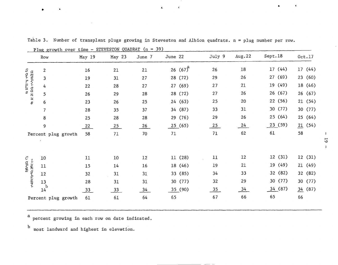|                     | Row                 | May 19 | May 23 | June 7 | June 22       | July 9          | Aug. 22        | Sept.18 | Oct.17  |
|---------------------|---------------------|--------|--------|--------|---------------|-----------------|----------------|---------|---------|
|                     | $\overline{c}$      | 16     | 21     | 21     | 26 $(67)^{a}$ | 26              | 18             | 17(44)  | 17 (44) |
| <i>Scircanus</i>    | 3                   | 19     | 31     | 27     | 28 (72)       | 29              | 26             | 27 (69) | 23 (60) |
|                     | 4                   | 22     | 28     | 27     | 27 (69)       | 27              | 21             | 19 (49) | 18 (46) |
|                     | 5                   | 26     | 29     | 28     | 28 (72)       | 27              | 26             | 26 (67) | 26 (67) |
|                     | 6                   | 23     | 26     | 25     | 24(63)        | 25              | 20             | 22 (56) | 21(54)  |
|                     | $\overline{7}$      | 28     | 35     | 37     | 34 (87)       | 33              | 31             | 30(77)  | 30 (77) |
|                     | 8                   | 25     | 28     | 28     | 29 (76)       | 29              | 26             | 25(64)  | 25 (64) |
|                     | 9                   | 22     | 25     | 26     | 25(65)        | 25              | 24             | 23(59)  | 21(54)  |
|                     | Percent plug growth | 58     | 71     | 70     | 71            | 71              | 62             | 61      | 58      |
|                     | 10                  | 11     | 10     | 12     | 11 (28)       | 11              | 12             | 12(31)  | 12 (31) |
|                     | 11                  | 15     | 14     | 16     | 18 (46)       | 19              | 21             | 19 (49) | 21 (49) |
| Whabber             | $12\,$              | 32     | 31     | 31     | 33 (85)       | 34              | 33             | 32 (82) | 32 (82) |
|                     | 13                  | 28     | 31     | 31     | 30 (77)       | 32              | 29             | 30 (77) | 30 (77) |
|                     | Ъ<br>14             | 33     | 33     | 34     | 35 (90)       | 35 <sub>1</sub> | $\frac{34}{1}$ | 34(87)  | 34(87)  |
| Percent plug growth |                     | 61     | 61     | 64     | 65            | 67              | 66             | 65      | 66      |

Table 3. Number of transplant plugs growing in Steveston and Albion quadrats. n = plug number per row.

 $\mathbf{r}$ 

 $\epsilon$ 

 $\sim$  $20<sub>1</sub>$  $OPTIPCDONOMADIM$ 

 $\bar{z}$ 

 $\mathsf a$ percent growing in each row on date indicated.

 $\mathbf b$ most landward and highest in elevation.  $\overline{6}$ 

۳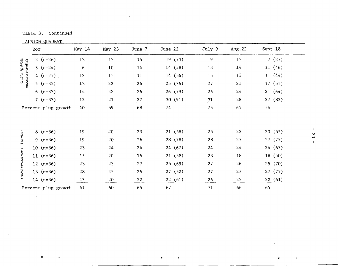Table 3. Continued

ALBION QUADRAT

 $\mathcal{L}$ 

 $\mathbf{r}$ 

|                              | Row |                     | May 14          | May 23          | June 7 | June 22 | July 9          | Aug. 22        | Sept.18 |
|------------------------------|-----|---------------------|-----------------|-----------------|--------|---------|-----------------|----------------|---------|
|                              |     | 2 $(n=26)$          | 13              | 13              | 15     | 19 (73) | 19              | 13             | 7(27)   |
|                              |     | 3 $(n=24)$          | 6               | 10 <sub>1</sub> | 14     | 14 (58) | 13              | 14             | 11(46)  |
| <b>SGLARES</b><br>AMERICANAS |     | 4 $(n=25)$          | 12              | 15              | 11     | 14 (56) | 15              | 13             | 11(44)  |
|                              |     | 5 $(n=33)$          | 13              | 22              | 26     | 25(76)  | 27              | 21             | 17(51)  |
|                              |     | 6 $(n=33)$          | 14              | 22              | 26     | 26 (79) | 26              | 24             | 21(64)  |
|                              |     | 7 $(n=33)$          | 12              | 21              | 27     | 30(91)  | $\overline{31}$ | $\frac{28}{1}$ | 27(82)  |
|                              |     | Percent plug growth | 40              | 59              | 68     | 74      | 75              | 65             | 54      |
|                              |     |                     |                 |                 |        |         |                 |                |         |
|                              |     | $8(n=36)$           | 19              | 20              | 23     | 21 (58) | 25              | 22             | 20 (55) |
| Coccoc                       |     | 9 $(n=36)$          | 19              | 20              | 26     | 28 (78) | 28              | 27             | 27 (75) |
|                              |     | $10 (n=36)$         | 23              | 24              | 24     | 24 (67) | 24              | 24             | 24 (67) |
|                              |     | $11 (n=36)$         | 15              | 20              | 16     | 21(58)  | 23              | 18             | 18 (50) |
| lyngbyel                     |     | $12 (n=36)$         | 23              | 23              | 27     | 25 (69) | 27              | 26             | 25 (70) |
|                              |     | $13$ (n=36)         | 28              | 25              | 26     | 27 (52) | 27              | 27             | 27 (75) |
|                              |     | $14$ (n=36)         | 17 <sub>2</sub> | 20 <sub>2</sub> | 22     | 22(61)  | 26              | 23             | 22(61)  |
|                              |     | Percent plug growth | 41              | 60              | 65     | 67      | 71              | 66             | 65      |

 $\mathcal{L}$ 

 $\sim$  .

ċ

 $\tilde{\mathbf{r}}$ 

 $\pmb{J}_i$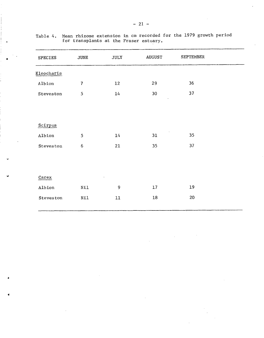| <b>SPECIES</b> | JUNE             | JULY   | ${\bf AUGUST}$ | SEPTEMBER |  |
|----------------|------------------|--------|----------------|-----------|--|
| Eleocharis     |                  |        |                |           |  |
| Albion         | $\overline{7}$   | 12     | 29             | 36        |  |
| Steveston      | 5                | $14\,$ | 30             | 37        |  |
|                |                  |        |                |           |  |
|                |                  |        |                |           |  |
| Scirpus        |                  |        |                |           |  |
| Albion         | 5                | 14     | 31             | 35        |  |
| Steveston      | $\boldsymbol{6}$ | 21     | 35             | 37        |  |
|                |                  |        |                |           |  |
|                |                  |        |                |           |  |
| Carex          |                  |        |                |           |  |
| Albion         | $\mathtt{Nil}$   | 9      | 17             | $19\,$    |  |
| Steveston      | $\mathtt{Nil}$   | $11\,$ | $18\,$         | 20        |  |
|                |                  |        |                |           |  |

Table 4. Mean rhizome extension in cm recorded for the 1979 growth period for transplants at the Fraser estuary.

 $- 21 -$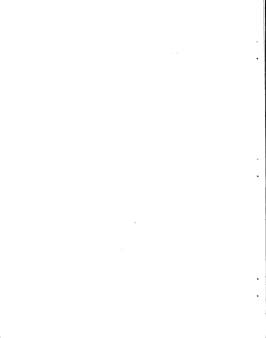$\sim$  $\mathcal{L}^{\text{max}}_{\text{max}}$  and  $\mathcal{L}^{\text{max}}_{\text{max}}$ 

 $\mathcal{A}=\mathcal{A}(\mathcal{A})$ 

ż,

'n,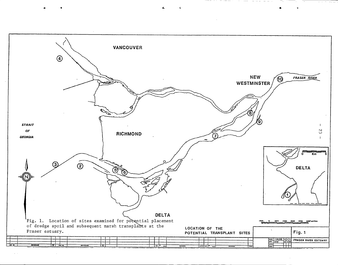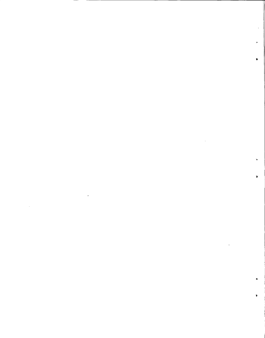$\label{eq:2.1} \frac{1}{\sqrt{2}}\int_{\mathbb{R}^3}\frac{1}{\sqrt{2}}\left(\frac{1}{\sqrt{2}}\right)^2\frac{1}{\sqrt{2}}\left(\frac{1}{\sqrt{2}}\right)^2\frac{1}{\sqrt{2}}\left(\frac{1}{\sqrt{2}}\right)^2\frac{1}{\sqrt{2}}\left(\frac{1}{\sqrt{2}}\right)^2.$ 

 $\mathcal{L}(\mathcal{L})$  and  $\mathcal{L}(\mathcal{L})$  . The set of  $\mathcal{L}(\mathcal{L})$ 

 $\sim 10^6$ 

 $\omega_{\rm{eff}}$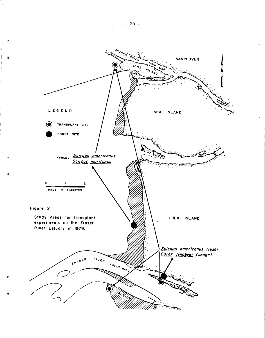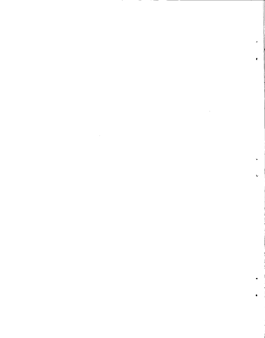л.  $\label{eq:2.1} \frac{1}{2} \sum_{i=1}^n \frac{1}{2} \sum_{j=1}^n \frac{1}{2} \sum_{j=1}^n \frac{1}{2} \sum_{j=1}^n \frac{1}{2} \sum_{j=1}^n \frac{1}{2} \sum_{j=1}^n \frac{1}{2} \sum_{j=1}^n \frac{1}{2} \sum_{j=1}^n \frac{1}{2} \sum_{j=1}^n \frac{1}{2} \sum_{j=1}^n \frac{1}{2} \sum_{j=1}^n \frac{1}{2} \sum_{j=1}^n \frac{1}{2} \sum_{j=1}^n \frac{$  $\label{eq:2.1} \frac{1}{\sqrt{2}}\left(\frac{1}{\sqrt{2}}\right)^{2} \left(\frac{1}{\sqrt{2}}\right)^{2} \left(\frac{1}{\sqrt{2}}\right)^{2} \left(\frac{1}{\sqrt{2}}\right)^{2} \left(\frac{1}{\sqrt{2}}\right)^{2} \left(\frac{1}{\sqrt{2}}\right)^{2} \left(\frac{1}{\sqrt{2}}\right)^{2} \left(\frac{1}{\sqrt{2}}\right)^{2} \left(\frac{1}{\sqrt{2}}\right)^{2} \left(\frac{1}{\sqrt{2}}\right)^{2} \left(\frac{1}{\sqrt{2}}\right)^{2} \left(\$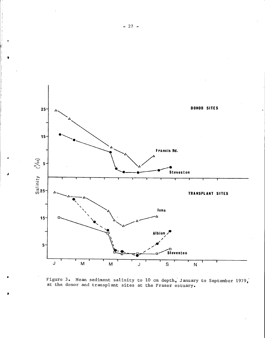

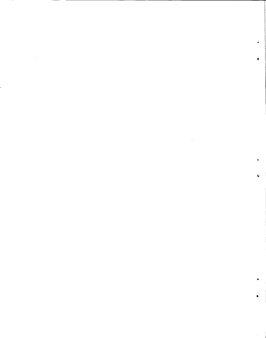$\ddot{\phantom{a}}$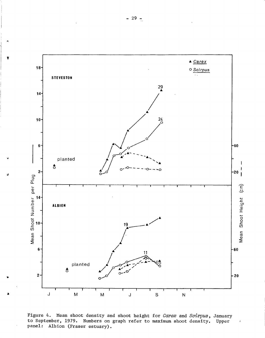

Figure 4. Mean shoot density and shoot height for Carex and Scirpus, January to September, 1979. Numbers on graph refer to maximum shoot density. Upper panel: Albion (Fraser estuary).

 $\pmb{\cdot}$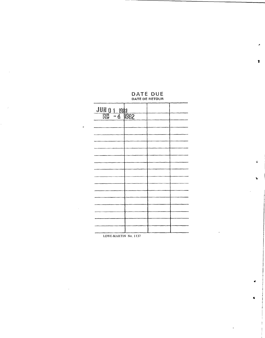| $\frac{JUN011981}{\frac{VGB}{VGB}-4}$ |  |  |
|---------------------------------------|--|--|
|                                       |  |  |
|                                       |  |  |
|                                       |  |  |
|                                       |  |  |
|                                       |  |  |
|                                       |  |  |
|                                       |  |  |
|                                       |  |  |
|                                       |  |  |
|                                       |  |  |
|                                       |  |  |
|                                       |  |  |
|                                       |  |  |
|                                       |  |  |
|                                       |  |  |
|                                       |  |  |
|                                       |  |  |
|                                       |  |  |

# DATE DUE<br>DATE DE RETOUR

Ă

 $\hat{\mathbf{r}}$ 

¢

LOWE-MARTIN No. 1137